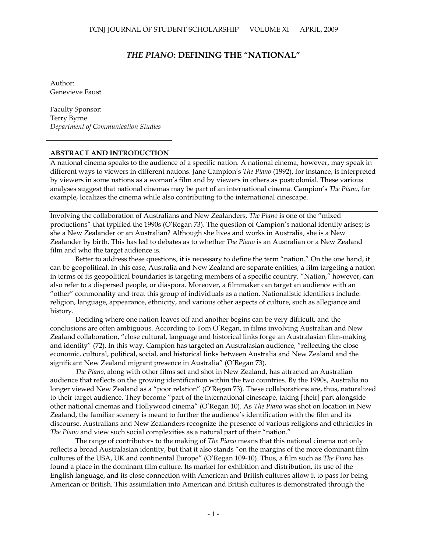## *THE PIANO***: DEFINING THE "NATIONAL"**

Author: Genevieve Faust

Faculty Sponsor: Terry Byrne *Department of Communication Studies*

## **ABSTRACT AND INTRODUCTION**

A national cinema speaks to the audience of a specific nation. A national cinema, however, may speak in different ways to viewers in different nations. Jane Campion"s *The Piano* (1992), for instance, is interpreted by viewers in some nations as a woman"s film and by viewers in others as postcolonial. These various analyses suggest that national cinemas may be part of an international cinema. Campion"s *The Piano*, for example, localizes the cinema while also contributing to the international cinescape.

Involving the collaboration of Australians and New Zealanders, *The Piano* is one of the "mixed productions" that typified the 1990s (O"Regan 73). The question of Campion"s national identity arises; is she a New Zealander or an Australian? Although she lives and works in Australia, she is a New Zealander by birth. This has led to debates as to whether *The Piano* is an Australian or a New Zealand film and who the target audience is.

Better to address these questions, it is necessary to define the term "nation." On the one hand, it can be geopolitical. In this case, Australia and New Zealand are separate entities; a film targeting a nation in terms of its geopolitical boundaries is targeting members of a specific country. "Nation," however, can also refer to a dispersed people, or diaspora. Moreover, a filmmaker can target an audience with an "other" commonality and treat this group of individuals as a nation. Nationalistic identifiers include: religion, language, appearance, ethnicity, and various other aspects of culture, such as allegiance and history.

Deciding where one nation leaves off and another begins can be very difficult, and the conclusions are often ambiguous. According to Tom O"Regan, in films involving Australian and New Zealand collaboration, "close cultural, language and historical links forge an Australasian film-making and identity" (72). In this way, Campion has targeted an Australasian audience, "reflecting the close economic, cultural, political, social, and historical links between Australia and New Zealand and the significant New Zealand migrant presence in Australia" (O'Regan 73).

*The Piano*, along with other films set and shot in New Zealand, has attracted an Australian audience that reflects on the growing identification within the two countries. By the 1990s, Australia no longer viewed New Zealand as a "poor relation" (O"Regan 73). These collaborations are, thus, naturalized to their target audience. They become "part of the international cinescape, taking [their] part alongside other national cinemas and Hollywood cinema" (O"Regan 10). As *The Piano* was shot on location in New Zealand, the familiar scenery is meant to further the audience"s identification with the film and its discourse. Australians and New Zealanders recognize the presence of various religions and ethnicities in *The Piano* and view such social complexities as a natural part of their "nation."

The range of contributors to the making of *The Piano* means that this national cinema not only reflects a broad Australasian identity, but that it also stands "on the margins of the more dominant film cultures of the USA, UK and continental Europe" (O"Regan 109-10). Thus, a film such as *The Piano* has found a place in the dominant film culture. Its market for exhibition and distribution, its use of the English language, and its close connection with American and British cultures allow it to pass for being American or British. This assimilation into American and British cultures is demonstrated through the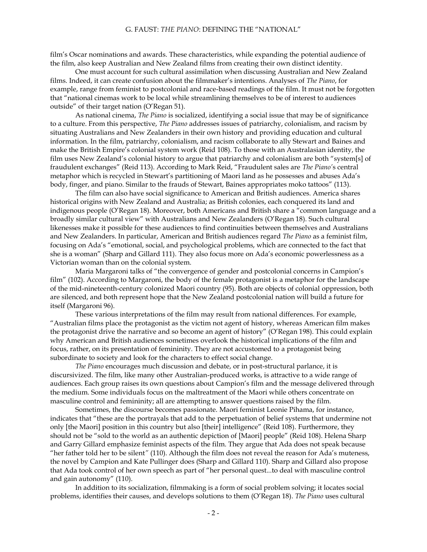film"s Oscar nominations and awards. These characteristics, while expanding the potential audience of the film, also keep Australian and New Zealand films from creating their own distinct identity.

One must account for such cultural assimilation when discussing Australian and New Zealand films. Indeed, it can create confusion about the filmmaker"s intentions. Analyses of *The Piano*, for example, range from feminist to postcolonial and race-based readings of the film. It must not be forgotten that "national cinemas work to be local while streamlining themselves to be of interest to audiences outside" of their target nation (O"Regan 51).

As national cinema, *The Piano* is socialized, identifying a social issue that may be of significance to a culture. From this perspective, *The Piano* addresses issues of patriarchy, colonialism, and racism by situating Australians and New Zealanders in their own history and providing education and cultural information. In the film, patriarchy, colonialism, and racism collaborate to ally Stewart and Baines and make the British Empire"s colonial system work (Reid 108). To those with an Australasian identity, the film uses New Zealand"s colonial history to argue that patriarchy and colonialism are both "system[s] of fraudulent exchanges" (Reid 113). According to Mark Reid, "Fraudulent sales are *The Piano'*s central metaphor which is recycled in Stewart"s partitioning of Maori land as he possesses and abuses Ada"s body, finger, and piano. Similar to the frauds of Stewart, Baines appropriates moko tattoos" (113).

The film can also have social significance to American and British audiences. America shares historical origins with New Zealand and Australia; as British colonies, each conquered its land and indigenous people (O"Regan 18). Moreover, both Americans and British share a "common language and a broadly similar cultural view" with Australians and New Zealanders (O"Regan 18). Such cultural likenesses make it possible for these audiences to find continuities between themselves and Australians and New Zealanders. In particular, American and British audiences regard *The Piano* as a feminist film, focusing on Ada"s "emotional, social, and psychological problems, which are connected to the fact that she is a woman" (Sharp and Gillard 111). They also focus more on Ada's economic powerlessness as a Victorian woman than on the colonial system.

Maria Margaroni talks of "the convergence of gender and postcolonial concerns in Campion"s film" (102). According to Margaroni, the body of the female protagonist is a metaphor for the landscape of the mid-nineteenth-century colonized Maori country (95). Both are objects of colonial oppression, both are silenced, and both represent hope that the New Zealand postcolonial nation will build a future for itself (Margaroni 96).

These various interpretations of the film may result from national differences. For example, "Australian films place the protagonist as the victim not agent of history, whereas American film makes the protagonist drive the narrative and so become an agent of history" (O"Regan 198). This could explain why American and British audiences sometimes overlook the historical implications of the film and focus, rather, on its presentation of femininity. They are not accustomed to a protagonist being subordinate to society and look for the characters to effect social change.

*The Piano* encourages much discussion and debate, or in post-structural parlance, it is discursivized. The film, like many other Australian-produced works, is attractive to a wide range of audiences. Each group raises its own questions about Campion"s film and the message delivered through the medium. Some individuals focus on the maltreatment of the Maori while others concentrate on masculine control and femininity; all are attempting to answer questions raised by the film.

Sometimes, the discourse becomes passionate. Maori feminist Leonie Pihama, for instance, indicates that "these are the portrayals that add to the perpetuation of belief systems that undermine not only [the Maori] position in this country but also [their] intelligence" (Reid 108). Furthermore, they should not be "sold to the world as an authentic depiction of [Maori] people" (Reid 108). Helena Sharp and Garry Gillard emphasize feminist aspects of the film. They argue that Ada does not speak because "her father told her to be silent*"* (110). Although the film does not reveal the reason for Ada"s muteness, the novel by Campion and Kate Pullinger does (Sharp and Gillard 110). Sharp and Gillard also propose that Ada took control of her own speech as part of "her personal quest...to deal with masculine control and gain autonomy" (110).

In addition to its socialization, filmmaking is a form of social problem solving; it locates social problems, identifies their causes, and develops solutions to them (O"Regan 18). *The Piano* uses cultural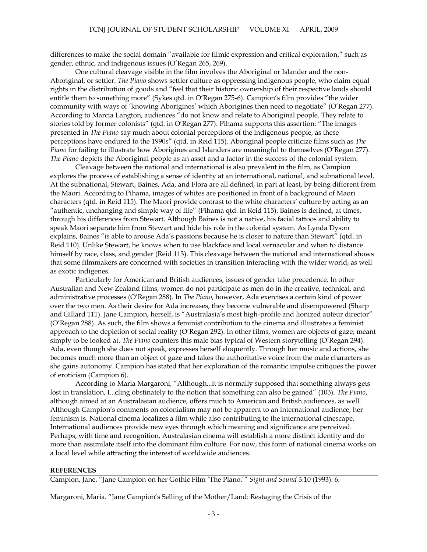differences to make the social domain "available for filmic expression and critical exploration," such as gender, ethnic, and indigenous issues (O"Regan 265, 269).

One cultural cleavage visible in the film involves the Aboriginal or Islander and the non-Aboriginal, or settler. *The Piano* shows settler culture as oppressing indigenous people, who claim equal rights in the distribution of goods and "feel that their historic ownership of their respective lands should entitle them to something more" (Sykes qtd. in O"Regan 275-6). Campion"s film provides "the wider community with ways of "knowing Aborigines" which Aborigines then need to negotiate" (O"Regan 277). According to Marcia Langton, audiences "do not know and relate to Aboriginal people. They relate to stories told by former colonists" (qtd. in O"Regan 277). Pihama supports this assertion: "The images presented in *The Piano* say much about colonial perceptions of the indigenous people, as these perceptions have endured to the 1990s" (qtd. in Reid 115). Aboriginal people criticize films such as *The Piano* for failing to illustrate how Aborigines and Islanders are meaningful to themselves (O"Regan 277). *The Piano* depicts the Aboriginal people as an asset and a factor in the success of the colonial system.

Cleavage between the national and international is also prevalent in the film, as Campion explores the process of establishing a sense of identity at an international, national, and subnational level. At the subnational, Stewart, Baines, Ada, and Flora are all defined, in part at least, by being different from the Maori. According to Pihama, images of whites are positioned in front of a background of Maori characters (qtd. in Reid 115). The Maori provide contrast to the white characters" culture by acting as an "authentic, unchanging and simple way of life" (Pihama qtd. in Reid 115). Baines is defined, at times, through his differences from Stewart. Although Baines is not a native, his facial tattoos and ability to speak Maori separate him from Stewart and hide his role in the colonial system. As Lynda Dyson explains, Baines "is able to arouse Ada"s passions because he is closer to nature than Stewart" (qtd. in Reid 110). Unlike Stewart, he knows when to use blackface and local vernacular and when to distance himself by race, class, and gender (Reid 113). This cleavage between the national and international shows that some filmmakers are concerned with societies in transition interacting with the wider world, as well as exotic indigenes.

Particularly for American and British audiences, issues of gender take precedence. In other Australian and New Zealand films, women do not participate as men do in the creative, technical, and administrative processes (O"Regan 288). In *The Piano*, however, Ada exercises a certain kind of power over the two men. As their desire for Ada increases, they become vulnerable and disempowered (Sharp and Gillard 111). Jane Campion, herself, is "Australasia"s most high-profile and lionized auteur director" (O"Regan 288). As such, the film shows a feminist contribution to the cinema and illustrates a feminist approach to the depiction of social reality (O"Regan 292). In other films, women are objects of gaze; meant simply to be looked at. *The Piano* counters this male bias typical of Western storytelling (O'Regan 294). Ada, even though she does not speak, expresses herself eloquently. Through her music and actions, she becomes much more than an object of gaze and takes the authoritative voice from the male characters as she gains autonomy. Campion has stated that her exploration of the romantic impulse critiques the power of eroticism (Campion 6).

According to Maria Margaroni, "Although...it is normally supposed that something always gets lost in translation, I...cling obstinately to the notion that something can also be gained" (103). *The Piano*, although aimed at an Australasian audience, offers much to American and British audiences, as well. Although Campion"s comments on colonialism may not be apparent to an international audience, her feminism is. National cinema localizes a film while also contributing to the international cinescape. International audiences provide new eyes through which meaning and significance are perceived. Perhaps, with time and recognition, Australasian cinema will establish a more distinct identity and do more than assimilate itself into the dominant film culture. For now, this form of national cinema works on a local level while attracting the interest of worldwide audiences.

## **REFERENCES**

Campion, Jane. "Jane Campion on her Gothic Film "The Piano."" *Sight and Sound* 3.10 (1993): 6.

Margaroni, Maria. "Jane Campion"s Selling of the Mother/Land: Restaging the Crisis of the